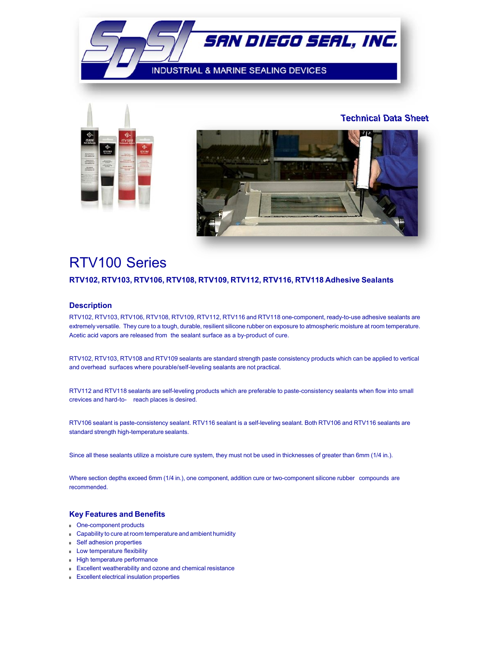



**Technical Data Sheet**



# RTV100 Series

# **RTV102, RTV103, RTV106, RTV108, RTV109, RTV112, RTV116, RTV118 Adhesive Sealants**

## **Description**

RTV102, RTV103, RTV106, RTV108, RTV109, RTV112, RTV116 and RTV118 one-component, ready-to-use adhesive sealants are extremely versatile. They cure to a tough, durable, resilient silicone rubber on exposure to atmospheric moisture at room temperature. Acetic acid vapors are released from the sealant surface as a by-product of cure.

RTV102, RTV103, RTV108 and RTV109 sealants are standard strength paste consistency products which can be applied to vertical and overhead surfaces where pourable/self-leveling sealants are not practical.

RTV112 and RTV118 sealants are self-leveling products which are preferable to paste-consistency sealants when flow into small crevices and hard-to- reach places is desired.

RTV106 sealant is paste-consistency sealant. RTV116 sealant is a self-leveling sealant. Both RTV106 and RTV116 sealants are standard strength high-temperature sealants.

Since all these sealants utilize a moisture cure system, they must not be used in thicknesses of greater than 6mm (1/4 in.).

Where section depths exceed 6mm (1/4 in.), one component, addition cure or two-component silicone rubber compounds are recommended.

### **Key Features and Benefits**

- One-component products
- Capability to cure at room temperature and ambient humidity
- Self adhesion properties
- Low temperature flexibility
- High temperature performance
- Excellent weatherability and ozone and chemical resistance
- Excellent electrical insulation properties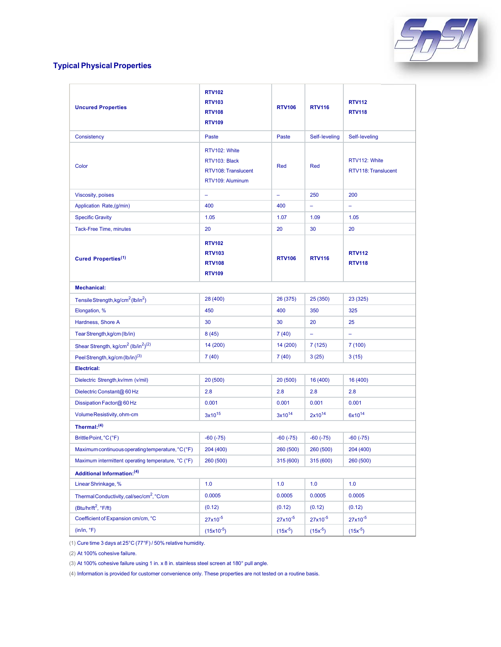

# **Typical Physical Properties**

| <b>Uncured Properties</b>                                               | <b>RTV102</b><br><b>RTV103</b><br><b>RTV108</b><br><b>RTV109</b>          | <b>RTV106</b> | <b>RTV116</b>  | <b>RTV112</b><br><b>RTV118</b>       |  |  |
|-------------------------------------------------------------------------|---------------------------------------------------------------------------|---------------|----------------|--------------------------------------|--|--|
| Consistency                                                             | Paste                                                                     | Paste         | Self-leveling  | Self-leveling                        |  |  |
| Color                                                                   | RTV102: White<br>RTV103: Black<br>RTV108: Translucent<br>RTV109: Aluminum | Red           | Red            | RTV112: White<br>RTV118: Translucent |  |  |
| <b>Viscosity, poises</b>                                                | -                                                                         | -             | 250            | 200                                  |  |  |
| Application Rate, (g/min)                                               | 400                                                                       | 400           | ÷,<br>$\equiv$ |                                      |  |  |
| <b>Specific Gravity</b>                                                 | 1.05                                                                      | 1.07          | 1.09           | 1.05                                 |  |  |
| Tack-Free Time, minutes                                                 | 20                                                                        | 20            | 30             | 20                                   |  |  |
| Cured Properties <sup>(1)</sup>                                         | <b>RTV102</b><br><b>RTV103</b><br><b>RTV108</b><br><b>RTV109</b>          | <b>RTV106</b> | <b>RTV116</b>  | <b>RTV112</b><br><b>RTV118</b>       |  |  |
| <b>Mechanical:</b>                                                      |                                                                           |               |                |                                      |  |  |
| Tensile Strength, kg/cm <sup>2</sup> (lb/in <sup>2</sup> )              | 28 (400)                                                                  | 26 (375)      | 25 (350)       | 23 (325)                             |  |  |
| Elongation, %                                                           | 450                                                                       | 400           | 350            | 325                                  |  |  |
| Hardness, Shore A                                                       | 30                                                                        | 30            | 20             | 25                                   |  |  |
| Tear Strength, kg/cm (lb/in)                                            | 8(45)                                                                     | 7(40)         | $\equiv$       | $\equiv$                             |  |  |
| Shear Strength, kg/cm <sup>2</sup> (lb/in <sup>2</sup> ) <sup>(2)</sup> | 14 (200)                                                                  | 14 (200)      | 7 (125)        | 7(100)                               |  |  |
| Peel Strength, kg/cm (lb/in) <sup>(3)</sup>                             | 7(40)                                                                     | 7(40)         | 3(25)          | 3(15)                                |  |  |
| <b>Electrical:</b>                                                      |                                                                           |               |                |                                      |  |  |
| Dielectric Strength, kv/mm (v/mil)                                      | 20(500)                                                                   | 20(500)       | 16 (400)       | 16 (400)                             |  |  |
| Dielectric Constant@ 60 Hz                                              | 2.8                                                                       | 2.8           | 2.8            | 2.8                                  |  |  |
| Dissipation Factor@ 60 Hz                                               | 0.001                                                                     | 0.001         | 0.001          | 0.001                                |  |  |
| Volume Resistivity, ohm-cm                                              | $3x10^{15}$                                                               | $3x10^{14}$   | $2x10^{14}$    | $6x10^{14}$                          |  |  |
| Thermal: $(4)$                                                          |                                                                           |               |                |                                      |  |  |
| Brittle Point, °C(°F)                                                   | $-60(-75)$                                                                | $-60 (-75)$   | $-60(-75)$     | $-60$ $(-75)$                        |  |  |
| Maximum continuous operating temperature, °C (°F)                       | 204 (400)                                                                 | 260 (500)     | 260 (500)      | 204 (400)                            |  |  |
| Maximum intermittent operating temperature, °C (°F)                     | 260 (500)                                                                 | 315 (600)     | 315 (600)      | 260 (500)                            |  |  |
| Additional Information: (4)                                             |                                                                           |               |                |                                      |  |  |
| Linear Shrinkage, %                                                     | 1.0                                                                       | 1.0           | 1.0            | 1.0                                  |  |  |
| Thermal Conductivity, cal/sec/cm <sup>2</sup> , °C/cm                   | 0.0005                                                                    | 0.0005        | 0.0005         | 0.0005                               |  |  |
| (Btu/hr/ft <sup>2</sup> , °F/ft)                                        | (0.12)                                                                    | (0.12)        | (0.12)         | (0.12)                               |  |  |
| Coefficient of Expansion cm/cm, °C                                      | $27x10^{-5}$                                                              | $27x10^{-5}$  | $27x10^{-5}$   | $27x10^{-5}$                         |  |  |
| (in/in, °F)                                                             | $(15x10^{-5})$                                                            | $(15x^{-5})$  | $(15x^{-5})$   | $(15x^{-5})$                         |  |  |

(1) Cure time 3 days at 25°C (77°F) / 50% relative humidity.

(2) At 100% cohesive failure.

(3) At 100% cohesive failure using 1 in. x 8 in. stainless steel screen at 180° pull angle.

(4) Information is provided for customer convenience only. These properties are not tested on a routine basis.